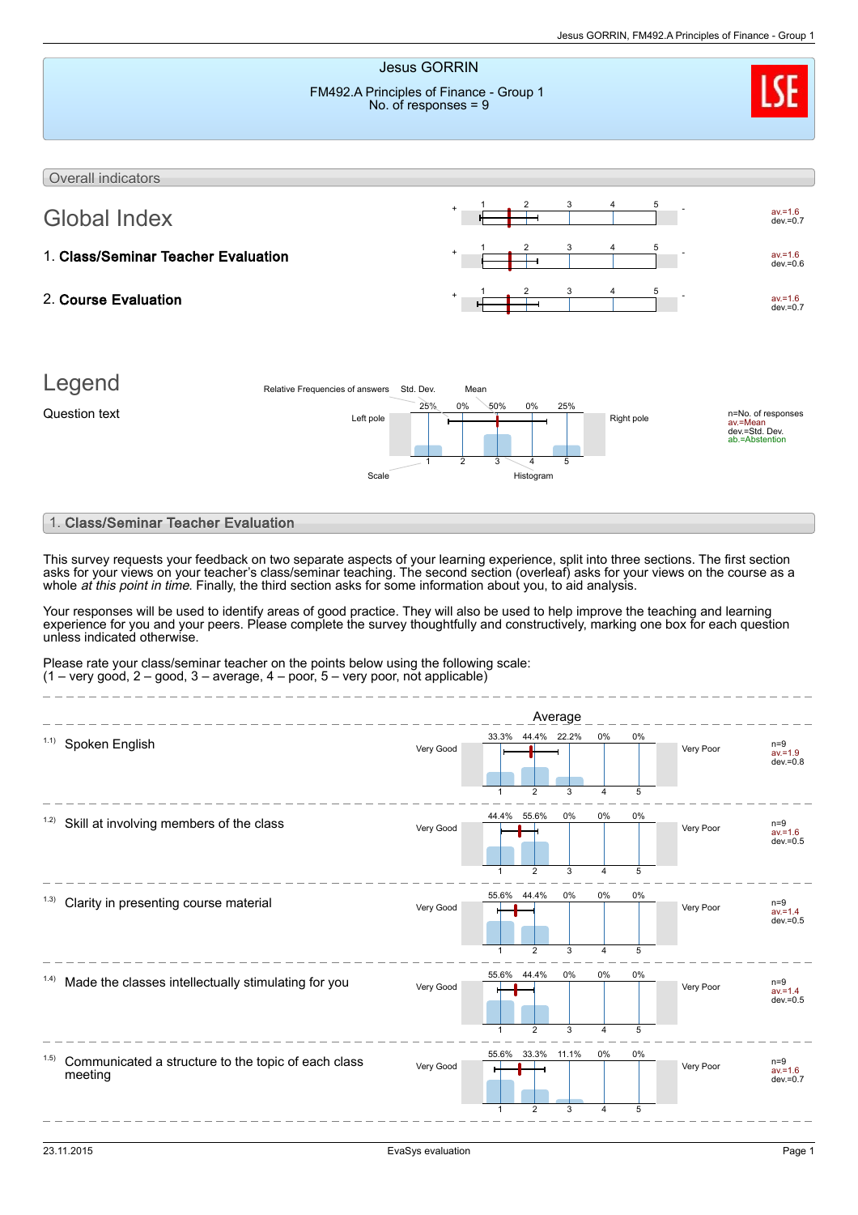

Communicated a structure to the topic of each class meeting 1.5)

1

2

3

 $V$ ery Good  $\overline{V}$ 

4

 $\frac{1}{5}$ 

av.=1.6 dev.=0.7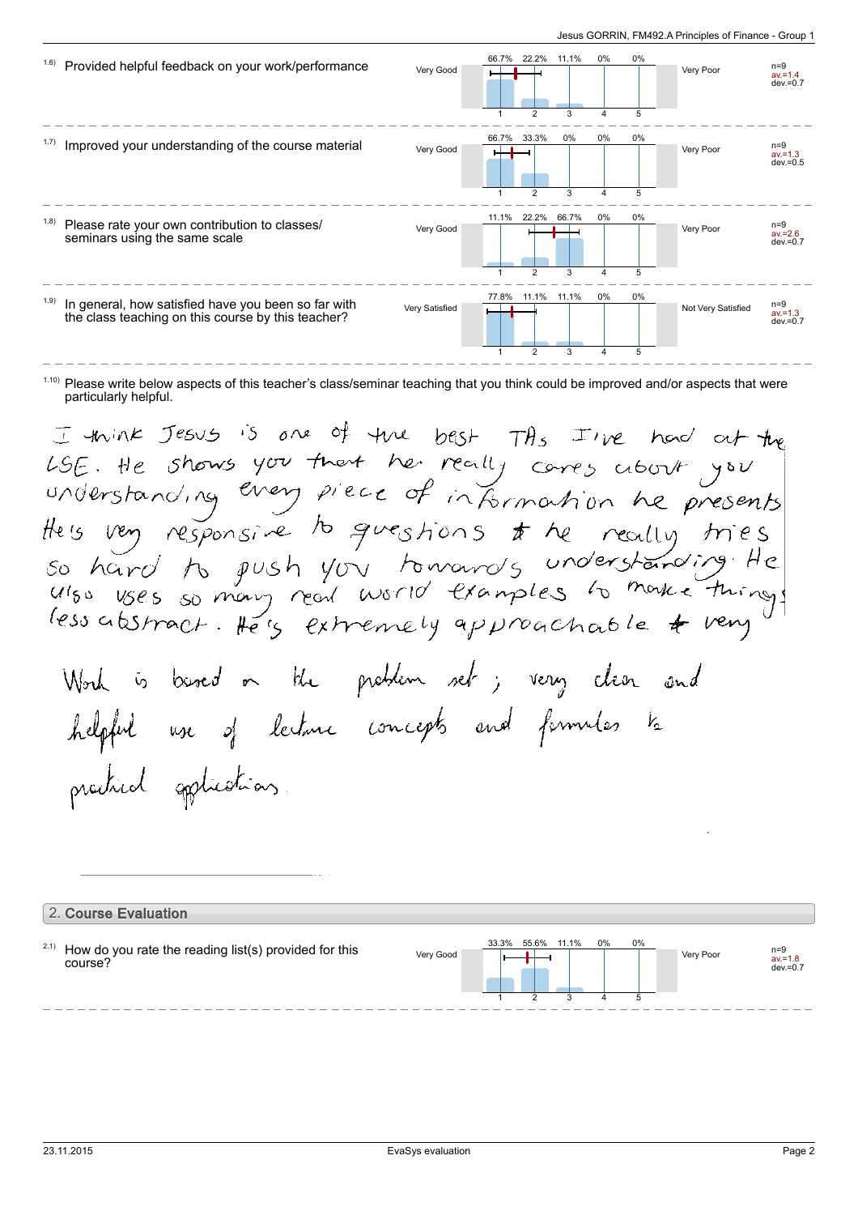

 $1.10$ ) Please write below aspects of this teacher's class/seminar teaching that you think could be improved and/or aspects that were particularly helpful.

I think Jesus is one of the best THs I've had at the LSE. He shows you that he really cares about you theis very responsive to questions to he really tries. so hard to push you towards understanding He less abstract. He's extremely approachable & very Work is based on the problem set; very clear and helpful use of lecture concepts and formulas to produced applications.

## 2. Course Evaluation How do you rate the reading list(s) provided for this course? 2.1) Very Good **In the Second Very Poor** av.=1.8 dev.=0.7 33.3% 1 55.6% 2 11.1% 3  $0%$ 4 0% 5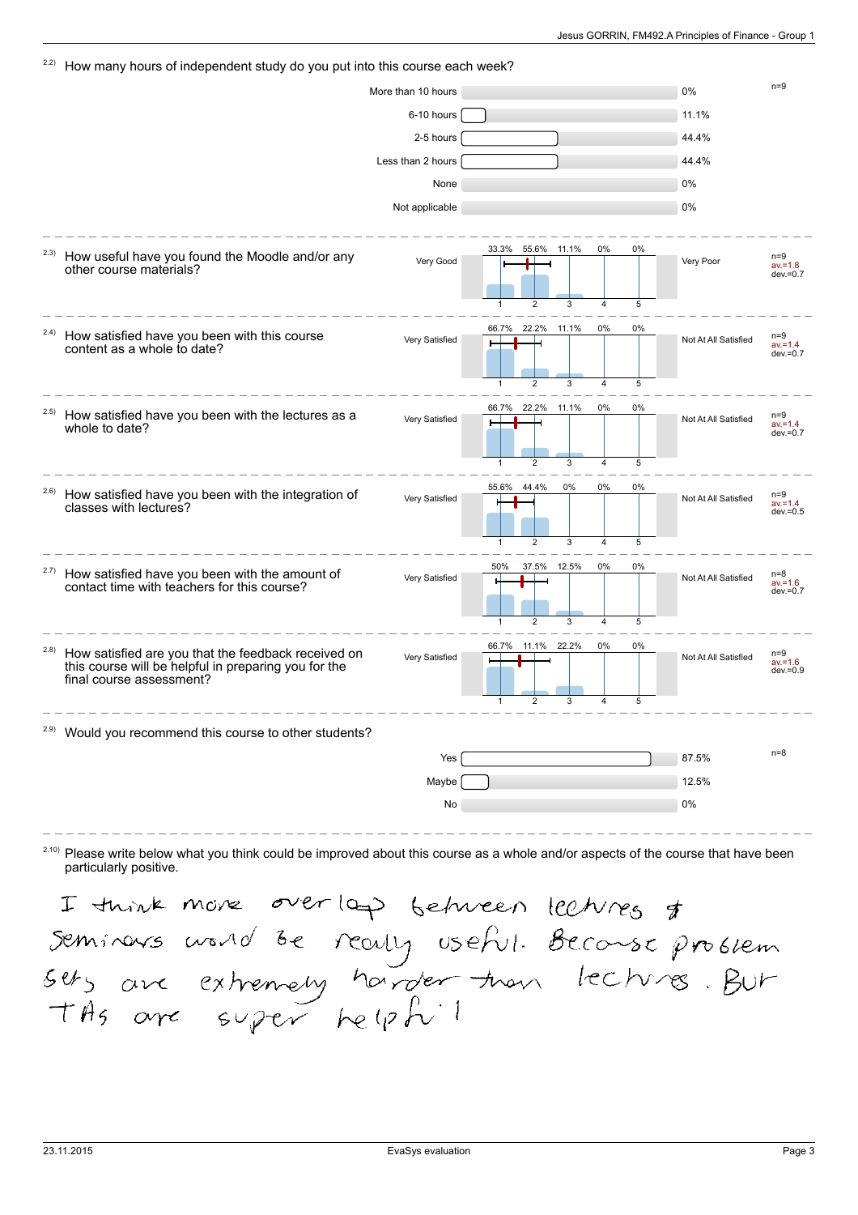| 2.2)  | How many hours of independent study do you put into this course each week?                                                              |                    |                                |                     |    |                      |                                    |
|-------|-----------------------------------------------------------------------------------------------------------------------------------------|--------------------|--------------------------------|---------------------|----|----------------------|------------------------------------|
|       |                                                                                                                                         | More than 10 hours |                                |                     |    | 0%                   | $n=9$                              |
|       |                                                                                                                                         | 6-10 hours         |                                |                     |    | 11.1%                |                                    |
|       |                                                                                                                                         | 2-5 hours          |                                |                     |    | 44.4%                |                                    |
|       |                                                                                                                                         | Less than 2 hours  |                                |                     |    | 44.4%                |                                    |
|       |                                                                                                                                         | None               |                                |                     |    | 0%                   |                                    |
|       |                                                                                                                                         | Not applicable     |                                |                     |    | 0%                   |                                    |
|       |                                                                                                                                         |                    |                                |                     |    |                      |                                    |
| 2.3)  | How useful have you found the Moodle and/or any<br>other course materials?                                                              | Very Good          | 33.3%<br>55.6%                 | 0%<br>11.1%         | 0% | Very Poor            | $n=9$<br>$av = 1.8$<br>$dev = 0.7$ |
|       |                                                                                                                                         |                    | $\overline{2}$                 | $\overline{4}$      | 5  |                      |                                    |
| 2.4)  | How satisfied have you been with this course<br>content as a whole to date?                                                             | Very Satisfied     | 22.2% 11.1%<br>66.7%           | 0%                  | 0% | Not At All Satisfied | $n=9$<br>$av = 1.4$<br>$dev = 0.7$ |
|       |                                                                                                                                         |                    | $\overline{2}$<br>$\mathbf{1}$ | 3<br>$\overline{4}$ | 5  |                      |                                    |
| 2.5)  | How satisfied have you been with the lectures as a<br>whole to date?                                                                    | Very Satisfied     | 22.2%<br>66.7%<br>11.1%        | 0%                  | 0% | Not At All Satisfied | $n=9$<br>$av = 1.4$<br>$dev = 0.7$ |
|       |                                                                                                                                         |                    | $\overline{2}$<br>$\mathbf{1}$ | 3<br>$\overline{4}$ | 5  |                      |                                    |
| 2.6)  | How satisfied have you been with the integration of<br>classes with lectures?                                                           | Very Satisfied     | 44.4%<br>55.6%                 | 0%<br>0%            | 0% | Not At All Satisfied | $n=9$<br>$av = 1.4$                |
|       |                                                                                                                                         |                    | 2                              | 3<br>$\overline{4}$ | 5  |                      | $dev = 0.5$                        |
|       |                                                                                                                                         |                    | 50%<br>37.5% 12.5%             | 0%                  | 0% |                      |                                    |
| 2.7)  | How satisfied have you been with the amount of<br>contact time with teachers for this course?                                           | Very Satisfied     |                                |                     |    | Not At All Satisfied | $n=8$<br>$av = 1.6$<br>$dev = 0.7$ |
|       |                                                                                                                                         |                    | $\overline{2}$                 | $\overline{4}$      | 5  |                      |                                    |
| (2.8) | How satisfied are you that the feedback received on<br>this course will be helpful in preparing you for the<br>final course assessment? | Very Satisfied     | 11.1% 22.2%<br>66.7%           | 0%                  | 0% | Not At All Satisfied | $n=9$<br>$av = 1.6$<br>$dev = 0.9$ |
|       |                                                                                                                                         |                    | $\mathbf{1}$<br>$\overline{c}$ | 3<br>$\overline{4}$ | 5  |                      |                                    |
|       | <sup>2.9)</sup> Would you recommend this course to other students?                                                                      |                    |                                |                     |    |                      |                                    |
|       |                                                                                                                                         | Yes                |                                |                     |    | 87.5%                | $n=8$                              |
|       |                                                                                                                                         | Maybe              |                                |                     |    | 12.5%                |                                    |
|       |                                                                                                                                         | No                 |                                |                     |    | 0%                   |                                    |
|       |                                                                                                                                         |                    |                                |                     |    |                      |                                    |

 $^{2.10}$  Please write below what you think could be improved about this course as a whole and/or aspects of the course that have been particularly positive.

I tuint more overlop between lectures &<br>Seminars world be really useful. Beconse problem<br>sets are extremely harder than lectures. BUT<br>Ths are super helphil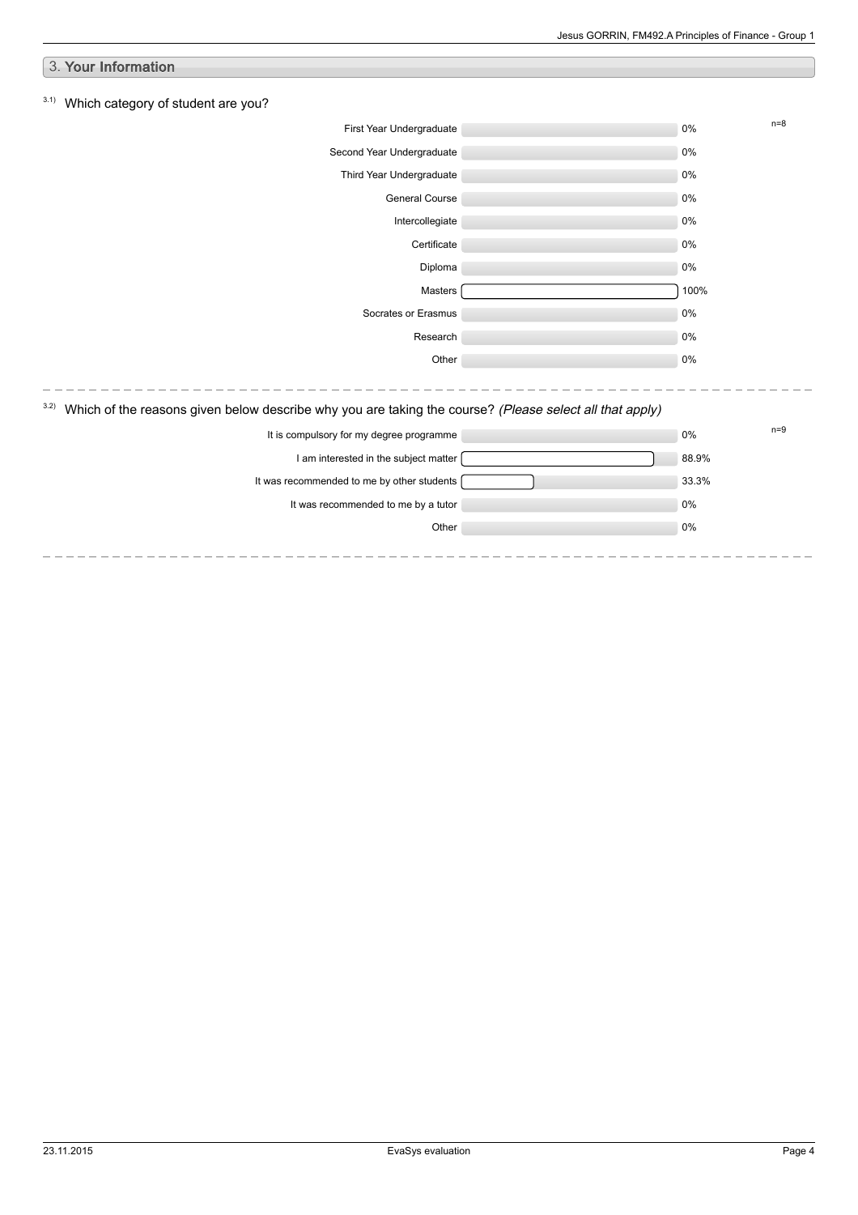| 3. Your Information                                                                                             |       |       |       |
|-----------------------------------------------------------------------------------------------------------------|-------|-------|-------|
| 3.1)<br>Which category of student are you?                                                                      |       |       |       |
| First Year Undergraduate                                                                                        |       | $0\%$ | $n=8$ |
| Second Year Undergraduate                                                                                       |       | $0\%$ |       |
| Third Year Undergraduate                                                                                        |       | $0\%$ |       |
| General Course                                                                                                  |       | 0%    |       |
| Intercollegiate                                                                                                 |       | $0\%$ |       |
| Certificate                                                                                                     |       | 0%    |       |
| Diploma                                                                                                         |       | $0\%$ |       |
| Masters                                                                                                         |       | 100%  |       |
| Socrates or Erasmus                                                                                             |       | 0%    |       |
| Research                                                                                                        |       | $0\%$ |       |
| Other                                                                                                           |       | 0%    |       |
|                                                                                                                 |       |       |       |
| 3.2)<br>Which of the reasons given below describe why you are taking the course? (Please select all that apply) |       |       |       |
| It is compulsory for my degree programme                                                                        | $0\%$ | $n=9$ |       |
| I am interested in the subject matter                                                                           |       | 88.9% |       |
| It was recommended to me by other students                                                                      |       | 33.3% |       |
| It was recommended to me by a tutor                                                                             |       | 0%    |       |
| Other                                                                                                           |       | 0%    |       |
|                                                                                                                 |       |       |       |